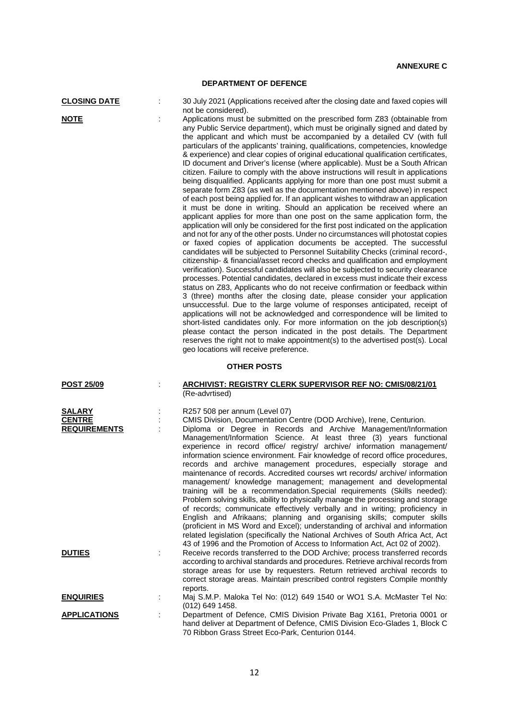## **DEPARTMENT OF DEFENCE**

**CLOSING DATE** : 30 July 2021 (Applications received after the closing date and faxed copies will not be considered).

**NOTE** : Applications must be submitted on the prescribed form Z83 (obtainable from any Public Service department), which must be originally signed and dated by the applicant and which must be accompanied by a detailed CV (with full particulars of the applicants' training, qualifications, competencies, knowledge & experience) and clear copies of original educational qualification certificates, ID document and Driver's license (where applicable). Must be a South African citizen. Failure to comply with the above instructions will result in applications being disqualified. Applicants applying for more than one post must submit a separate form Z83 (as well as the documentation mentioned above) in respect of each post being applied for. If an applicant wishes to withdraw an application it must be done in writing. Should an application be received where an applicant applies for more than one post on the same application form, the application will only be considered for the first post indicated on the application and not for any of the other posts. Under no circumstances will photostat copies or faxed copies of application documents be accepted. The successful candidates will be subjected to Personnel Suitability Checks (criminal record-, citizenship- & financial/asset record checks and qualification and employment verification). Successful candidates will also be subjected to security clearance processes. Potential candidates, declared in excess must indicate their excess status on Z83, Applicants who do not receive confirmation or feedback within 3 (three) months after the closing date, please consider your application unsuccessful. Due to the large volume of responses anticipated, receipt of applications will not be acknowledged and correspondence will be limited to short-listed candidates only. For more information on the iob description(s) please contact the person indicated in the post details. The Department reserves the right not to make appointment(s) to the advertised post(s). Local geo locations will receive preference.

## **OTHER POSTS**

| <b>POST 25/09</b>                                     | ARCHIVIST: REGISTRY CLERK SUPERVISOR REF NO: CMIS/08/21/01<br>(Re-advrtised)                                                                                                                                                                                                                                                                                                                                                                                                                                                                                                                                                                                                                                                                                                                                                                                                                                                                                                                                                                                                                                                                                                                                 |
|-------------------------------------------------------|--------------------------------------------------------------------------------------------------------------------------------------------------------------------------------------------------------------------------------------------------------------------------------------------------------------------------------------------------------------------------------------------------------------------------------------------------------------------------------------------------------------------------------------------------------------------------------------------------------------------------------------------------------------------------------------------------------------------------------------------------------------------------------------------------------------------------------------------------------------------------------------------------------------------------------------------------------------------------------------------------------------------------------------------------------------------------------------------------------------------------------------------------------------------------------------------------------------|
| <b>SALARY</b><br><b>CENTRE</b><br><b>REQUIREMENTS</b> | R257 508 per annum (Level 07)<br>CMIS Division, Documentation Centre (DOD Archive), Irene, Centurion.<br>Diploma or Degree in Records and Archive Management/Information<br>Management/Information Science. At least three (3) years functional<br>experience in record office/ registry/ archive/ information management/<br>information science environment. Fair knowledge of record office procedures,<br>records and archive management procedures, especially storage and<br>maintenance of records. Accredited courses wrt records/ archive/ information<br>management/ knowledge management; management and developmental<br>training will be a recommendation. Special requirements (Skills needed):<br>Problem solving skills, ability to physically manage the processing and storage<br>of records; communicate effectively verbally and in writing; proficiency in<br>English and Afrikaans; planning and organising skills; computer skills<br>(proficient in MS Word and Excel); understanding of archival and information<br>related legislation (specifically the National Archives of South Africa Act, Act<br>43 of 1996 and the Promotion of Access to Information Act, Act 02 of 2002). |
| <b>DUTIES</b>                                         | Receive records transferred to the DOD Archive; process transferred records<br>according to archival standards and procedures. Retrieve archival records from<br>storage areas for use by requesters. Return retrieved archival records to<br>correct storage areas. Maintain prescribed control registers Compile monthly<br>reports.                                                                                                                                                                                                                                                                                                                                                                                                                                                                                                                                                                                                                                                                                                                                                                                                                                                                       |
| <b>ENQUIRIES</b>                                      | Maj S.M.P. Maloka Tel No: (012) 649 1540 or WO1 S.A. McMaster Tel No:<br>(012) 649 1458.                                                                                                                                                                                                                                                                                                                                                                                                                                                                                                                                                                                                                                                                                                                                                                                                                                                                                                                                                                                                                                                                                                                     |
| <b>APPLICATIONS</b>                                   | Department of Defence, CMIS Division Private Bag X161, Pretoria 0001 or<br>hand deliver at Department of Defence, CMIS Division Eco-Glades 1, Block C<br>70 Ribbon Grass Street Eco-Park, Centurion 0144.                                                                                                                                                                                                                                                                                                                                                                                                                                                                                                                                                                                                                                                                                                                                                                                                                                                                                                                                                                                                    |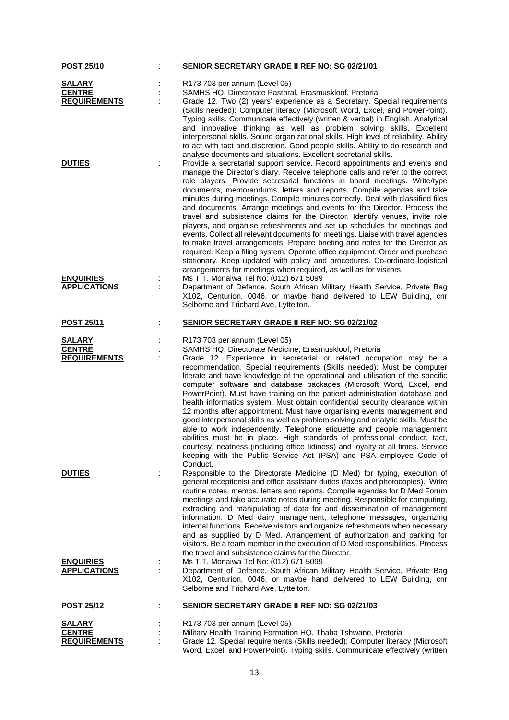| <b>POST 25/10</b>   |   | <b>SENIOR SECRETARY GRADE II REF NO: SG 02/21/01</b>                                                                                                                                                                                                                                                                                                                                                                                                                                                                                                                                                                                                                                                                                                                                                                                                                                                                                                                                                                                              |
|---------------------|---|---------------------------------------------------------------------------------------------------------------------------------------------------------------------------------------------------------------------------------------------------------------------------------------------------------------------------------------------------------------------------------------------------------------------------------------------------------------------------------------------------------------------------------------------------------------------------------------------------------------------------------------------------------------------------------------------------------------------------------------------------------------------------------------------------------------------------------------------------------------------------------------------------------------------------------------------------------------------------------------------------------------------------------------------------|
| <b>SALARY</b>       |   | R173 703 per annum (Level 05)                                                                                                                                                                                                                                                                                                                                                                                                                                                                                                                                                                                                                                                                                                                                                                                                                                                                                                                                                                                                                     |
| <b>CENTRE</b>       |   | SAMHS HQ, Directorate Pastoral, Erasmuskloof, Pretoria.                                                                                                                                                                                                                                                                                                                                                                                                                                                                                                                                                                                                                                                                                                                                                                                                                                                                                                                                                                                           |
| <b>REQUIREMENTS</b> |   | Grade 12. Two (2) years' experience as a Secretary. Special requirements                                                                                                                                                                                                                                                                                                                                                                                                                                                                                                                                                                                                                                                                                                                                                                                                                                                                                                                                                                          |
|                     |   | (Skills needed): Computer literacy (Microsoft Word, Excel, and PowerPoint).<br>Typing skills. Communicate effectively (written & verbal) in English. Analytical<br>and innovative thinking as well as problem solving skills. Excellent<br>interpersonal skills. Sound organizational skills. High level of reliability. Ability<br>to act with tact and discretion. Good people skills. Ability to do research and<br>analyse documents and situations. Excellent secretarial skills.                                                                                                                                                                                                                                                                                                                                                                                                                                                                                                                                                            |
| <b>DUTIES</b>       |   | Provide a secretarial support service. Record appointments and events and<br>manage the Director's diary. Receive telephone calls and refer to the correct<br>role players. Provide secretarial functions in board meetings. Write/type<br>documents, memorandums, letters and reports. Compile agendas and take<br>minutes during meetings. Compile minutes correctly. Deal with classified files<br>and documents. Arrange meetings and events for the Director. Process the<br>travel and subsistence claims for the Director. Identify venues, invite role<br>players, and organise refreshments and set up schedules for meetings and<br>events. Collect all relevant documents for meetings. Liaise with travel agencies<br>to make travel arrangements. Prepare briefing and notes for the Director as<br>required. Keep a filing system. Operate office equipment. Order and purchase<br>stationary. Keep updated with policy and procedures. Co-ordinate logistical<br>arrangements for meetings when required, as well as for visitors. |
| <b>ENQUIRIES</b>    |   | Ms T.T. Monaiwa Tel No: (012) 671 5099                                                                                                                                                                                                                                                                                                                                                                                                                                                                                                                                                                                                                                                                                                                                                                                                                                                                                                                                                                                                            |
| <b>APPLICATIONS</b> |   | Department of Defence, South African Military Health Service, Private Bag<br>X102, Centurion, 0046, or maybe hand delivered to LEW Building, cnr<br>Selborne and Trichard Ave, Lyttelton.                                                                                                                                                                                                                                                                                                                                                                                                                                                                                                                                                                                                                                                                                                                                                                                                                                                         |
| <b>POST 25/11</b>   |   | <b>SENIOR SECRETARY GRADE II REF NO: SG 02/21/02</b>                                                                                                                                                                                                                                                                                                                                                                                                                                                                                                                                                                                                                                                                                                                                                                                                                                                                                                                                                                                              |
| SALARY              |   | R173 703 per annum (Level 05)                                                                                                                                                                                                                                                                                                                                                                                                                                                                                                                                                                                                                                                                                                                                                                                                                                                                                                                                                                                                                     |
| <b>CENTRE</b>       |   | SAMHS HQ, Directorate Medicine, Erasmuskloof, Pretoria                                                                                                                                                                                                                                                                                                                                                                                                                                                                                                                                                                                                                                                                                                                                                                                                                                                                                                                                                                                            |
| <b>REQUIREMENTS</b> |   | Grade 12. Experience in secretarial or related occupation may be a<br>recommendation. Special requirements (Skills needed): Must be computer<br>literate and have knowledge of the operational and utilisation of the specific<br>computer software and database packages (Microsoft Word, Excel, and<br>PowerPoint). Must have training on the patient administration database and<br>health informatics system. Must obtain confidential security clearance within<br>12 months after appointment. Must have organising events management and<br>good interpersonal skills as well as problem solving and analytic skills. Must be<br>able to work independently. Telephone etiquette and people management<br>abilities must be in place. High standards of professional conduct, tact,<br>courtesy, neatness (including office tidiness) and loyalty at all times. Service<br>keeping with the Public Service Act (PSA) and PSA employee Code of<br>Conduct.                                                                                  |
| <b>DUTIES</b>       |   | Responsible to the Directorate Medicine (D Med) for typing, execution of<br>general receptionist and office assistant duties (faxes and photocopies). Write<br>routine notes, memos, letters and reports. Compile agendas for D Med Forum<br>meetings and take accurate notes during meeting. Responsible for computing,<br>extracting and manipulating of data for and dissemination of management<br>information. D Med dairy management, telephone messages, organizing<br>internal functions. Receive visitors and organize refreshments when necessary<br>and as supplied by D Med. Arrangement of authorization and parking for<br>visitors. Be a team member in the execution of D Med responsibilities. Process<br>the travel and subsistence claims for the Director.                                                                                                                                                                                                                                                                    |
| <b>ENQUIRIES</b>    | ÷ | Ms T.T. Monaiwa Tel No: (012) 671 5099                                                                                                                                                                                                                                                                                                                                                                                                                                                                                                                                                                                                                                                                                                                                                                                                                                                                                                                                                                                                            |
| <b>APPLICATIONS</b> |   | Department of Defence, South African Military Health Service, Private Bag<br>X102, Centurion, 0046, or maybe hand delivered to LEW Building, cnr<br>Selborne and Trichard Ave, Lyttelton.                                                                                                                                                                                                                                                                                                                                                                                                                                                                                                                                                                                                                                                                                                                                                                                                                                                         |
| <b>POST 25/12</b>   |   | <b>SENIOR SECRETARY GRADE II REF NO: SG 02/21/03</b>                                                                                                                                                                                                                                                                                                                                                                                                                                                                                                                                                                                                                                                                                                                                                                                                                                                                                                                                                                                              |
| <b>SALARY</b>       |   | R173 703 per annum (Level 05)                                                                                                                                                                                                                                                                                                                                                                                                                                                                                                                                                                                                                                                                                                                                                                                                                                                                                                                                                                                                                     |
| <b>CENTRE</b>       |   | Military Health Training Formation HQ, Thaba Tshwane, Pretoria                                                                                                                                                                                                                                                                                                                                                                                                                                                                                                                                                                                                                                                                                                                                                                                                                                                                                                                                                                                    |
| <b>REQUIREMENTS</b> |   | Grade 12. Special requirements (Skills needed): Computer literacy (Microsoft<br>Word, Excel, and PowerPoint). Typing skills. Communicate effectively (written                                                                                                                                                                                                                                                                                                                                                                                                                                                                                                                                                                                                                                                                                                                                                                                                                                                                                     |